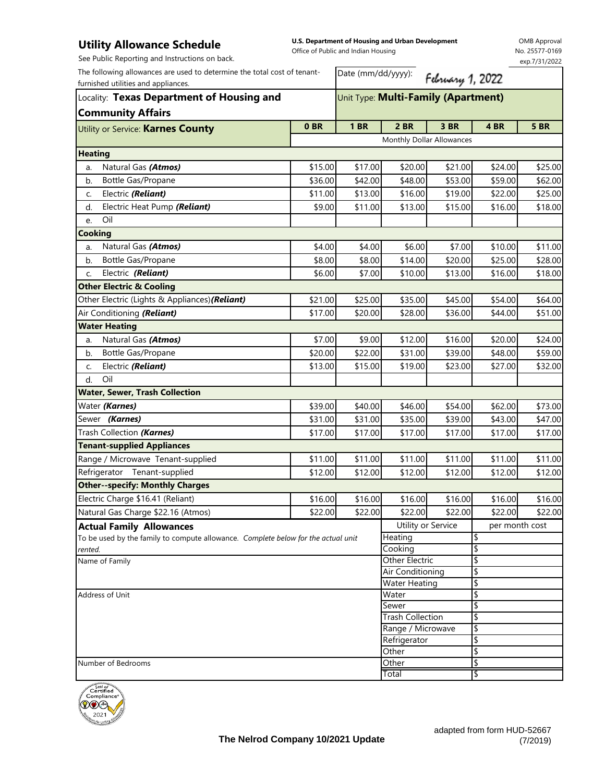## **Utility Allowance Schedule**

**U.S. Department of Housing and Urban Development**  Office of Public and Indian Housing

OMB Approval No. 25577-0169 exp.7/31/2022

| See Public Reporting and Instructions on back.                                                                                                                                           |                 |                                     |                                          |                  |          | exp.7/31/2022 |  |  |
|------------------------------------------------------------------------------------------------------------------------------------------------------------------------------------------|-----------------|-------------------------------------|------------------------------------------|------------------|----------|---------------|--|--|
| The following allowances are used to determine the total cost of tenant-<br>furnished utilities and appliances.<br>Locality: Texas Department of Housing and<br><b>Community Affairs</b> |                 | Date (mm/dd/yyyy):                  |                                          | February 1, 2022 |          |               |  |  |
|                                                                                                                                                                                          |                 | Unit Type: Multi-Family (Apartment) |                                          |                  |          |               |  |  |
| Utility or Service: Karnes County                                                                                                                                                        | 0 <sub>BR</sub> | <b>1 BR</b>                         | 2 BR                                     | 3 BR             | 4 BR     | <b>5 BR</b>   |  |  |
|                                                                                                                                                                                          |                 | Monthly Dollar Allowances           |                                          |                  |          |               |  |  |
| <b>Heating</b>                                                                                                                                                                           |                 |                                     |                                          |                  |          |               |  |  |
| Natural Gas (Atmos)<br>a.                                                                                                                                                                | \$15.00         | \$17.00                             | \$20.00                                  | \$21.00          | \$24.00  | \$25.00       |  |  |
| Bottle Gas/Propane<br>b.                                                                                                                                                                 | \$36.00         | \$42.00                             | \$48.00                                  | \$53.00          | \$59.00  | \$62.00       |  |  |
| Electric (Reliant)<br>C.                                                                                                                                                                 | \$11.00         | \$13.00                             | \$16.00                                  | \$19.00          | \$22.00  | \$25.00       |  |  |
| Electric Heat Pump (Reliant)<br>d.                                                                                                                                                       | \$9.00          | \$11.00                             | \$13.00                                  | \$15.00          | \$16.00  | \$18.00       |  |  |
| Oil<br>e.                                                                                                                                                                                |                 |                                     |                                          |                  |          |               |  |  |
| <b>Cooking</b>                                                                                                                                                                           |                 |                                     |                                          |                  |          |               |  |  |
| Natural Gas (Atmos)<br>a.                                                                                                                                                                | \$4.00          | \$4.00                              | \$6.00                                   | \$7.00           | \$10.00  | \$11.00       |  |  |
| Bottle Gas/Propane<br>b.                                                                                                                                                                 | \$8.00          | \$8.00                              | \$14.00                                  | \$20.00          | \$25.00  | \$28.00       |  |  |
| Electric (Reliant)<br>c.                                                                                                                                                                 | \$6.00          | \$7.00                              | \$10.00                                  | \$13.00          | \$16.00  | \$18.00       |  |  |
| <b>Other Electric &amp; Cooling</b>                                                                                                                                                      |                 |                                     |                                          |                  |          |               |  |  |
| Other Electric (Lights & Appliances) (Reliant)                                                                                                                                           | \$21.00         | \$25.00                             | \$35.00                                  | \$45.00          | \$54.00  | \$64.00       |  |  |
| Air Conditioning (Reliant)                                                                                                                                                               | \$17.00         | \$20.00                             | \$28.00                                  | \$36.00          | \$44.00  | \$51.00       |  |  |
| <b>Water Heating</b>                                                                                                                                                                     |                 |                                     |                                          |                  |          |               |  |  |
| Natural Gas (Atmos)<br>a.                                                                                                                                                                | \$7.00          | \$9.00                              | \$12.00                                  | \$16.00          | \$20.00  | \$24.00       |  |  |
| Bottle Gas/Propane<br>b.                                                                                                                                                                 | \$20.00         | \$22.00                             | \$31.00                                  | \$39.00          | \$48.00  | \$59.00       |  |  |
| Electric (Reliant)<br>C.                                                                                                                                                                 | \$13.00         | \$15.00                             | \$19.00                                  | \$23.00          | \$27.00  | \$32.00       |  |  |
| Oil<br>d.                                                                                                                                                                                |                 |                                     |                                          |                  |          |               |  |  |
| <b>Water, Sewer, Trash Collection</b>                                                                                                                                                    |                 |                                     |                                          |                  |          |               |  |  |
| Water (Karnes)                                                                                                                                                                           | \$39.00         | \$40.00                             | \$46.00                                  | \$54.00          | \$62.00  | \$73.00       |  |  |
| Sewer (Karnes)                                                                                                                                                                           | \$31.00         | \$31.00                             | \$35.00                                  | \$39.00          | \$43.00  | \$47.00       |  |  |
| Trash Collection (Karnes)                                                                                                                                                                | \$17.00         | \$17.00                             | \$17.00                                  | \$17.00          | \$17.00  | \$17.00       |  |  |
| <b>Tenant-supplied Appliances</b>                                                                                                                                                        |                 |                                     |                                          |                  |          |               |  |  |
| Range / Microwave Tenant-supplied                                                                                                                                                        | \$11.00         | \$11.00                             | \$11.00                                  | \$11.00          | \$11.00  | \$11.00       |  |  |
| Refrigerator Tenant-supplied                                                                                                                                                             | \$12.00         | \$12.00                             | \$12.00                                  | \$12.00          | \$12.00  | \$12.00       |  |  |
| <b>Other--specify: Monthly Charges</b>                                                                                                                                                   |                 |                                     |                                          |                  |          |               |  |  |
| Electric Charge \$16.41 (Reliant)                                                                                                                                                        | \$16.00         | \$16.00                             | \$16.00                                  | \$16.00          | \$16.00  | \$16.00       |  |  |
| Natural Gas Charge \$22.16 (Atmos)                                                                                                                                                       | \$22.00         | \$22.00                             | \$22.00                                  | \$22.00          | \$22.00  | \$22.00       |  |  |
| <b>Actual Family Allowances</b>                                                                                                                                                          |                 |                                     | Utility or Service<br>per month cost     |                  |          |               |  |  |
| To be used by the family to compute allowance. Complete below for the actual unit                                                                                                        |                 |                                     | Heating                                  |                  | \$       |               |  |  |
| rented.                                                                                                                                                                                  |                 |                                     | Cooking                                  |                  | \$       |               |  |  |
| Name of Family                                                                                                                                                                           |                 |                                     | <b>Other Electric</b>                    |                  | \$       |               |  |  |
|                                                                                                                                                                                          |                 |                                     | Air Conditioning<br><b>Water Heating</b> |                  | \$<br>\$ |               |  |  |
| Address of Unit                                                                                                                                                                          |                 |                                     | Water                                    |                  | \$       |               |  |  |
|                                                                                                                                                                                          |                 |                                     | Sewer                                    |                  | \$       |               |  |  |
|                                                                                                                                                                                          |                 |                                     | <b>Trash Collection</b>                  |                  | \$       |               |  |  |
|                                                                                                                                                                                          |                 |                                     | Range / Microwave                        |                  | \$       |               |  |  |
|                                                                                                                                                                                          |                 | Refrigerator                        |                                          | \$               |          |               |  |  |
|                                                                                                                                                                                          |                 |                                     | Other<br>Other                           |                  | \$<br>\$ |               |  |  |
| Number of Bedrooms                                                                                                                                                                       |                 |                                     | Total                                    |                  | \$       |               |  |  |
|                                                                                                                                                                                          |                 |                                     |                                          |                  |          |               |  |  |